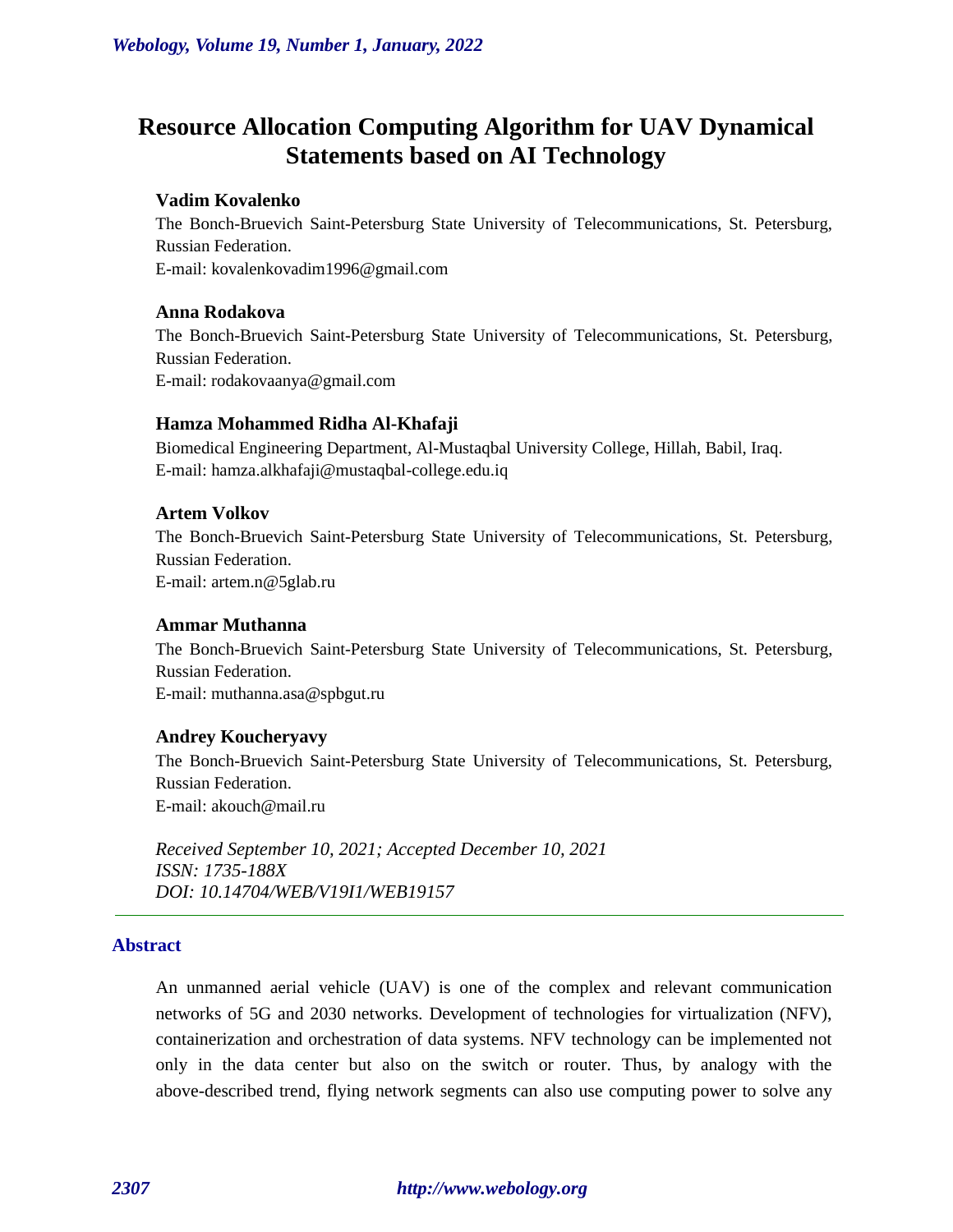# **Resource Allocation Computing Algorithm for UAV Dynamical Statements based on AI Technology**

#### **Vadim Kovalenko**

The Bonch-Bruevich Saint-Petersburg State University of Telecommunications, St. Petersburg, Russian Federation. E-mail: kovalenkovadim1996@gmail.com

#### **Anna Rodakova**

The Bonch-Bruevich Saint-Petersburg State University of Telecommunications, St. Petersburg, Russian Federation. E-mail: rodakovaanya@gmail.com

#### **Hamza Mohammed Ridha Al-Khafaji**

Biomedical Engineering Department, Al-Mustaqbal University College, Hillah, Babil, Iraq. E-mail: hamza.alkhafaji@mustaqbal-college.edu.iq

### **Artem Volkov**

The Bonch-Bruevich Saint-Petersburg State University of Telecommunications, St. Petersburg, Russian Federation. E-mail: artem.n@5glab.ru

#### **Ammar Muthanna**

The Bonch-Bruevich Saint-Petersburg State University of Telecommunications, St. Petersburg, Russian Federation. E-mail: muthanna.asa@spbgut.ru

#### **Andrey Koucheryavy**

The Bonch-Bruevich Saint-Petersburg State University of Telecommunications, St. Petersburg, Russian Federation. E-mail: akouch@mail.ru

*Received September 10, 2021; Accepted December 10, 2021 ISSN: 1735-188X DOI: 10.14704/WEB/V19I1/WEB19157*

#### **Abstract**

An unmanned aerial vehicle (UAV) is one of the complex and relevant communication networks of 5G and 2030 networks. Development of technologies for virtualization (NFV), containerization and orchestration of data systems. NFV technology can be implemented not only in the data center but also on the switch or router. Thus, by analogy with the above-described trend, flying network segments can also use computing power to solve any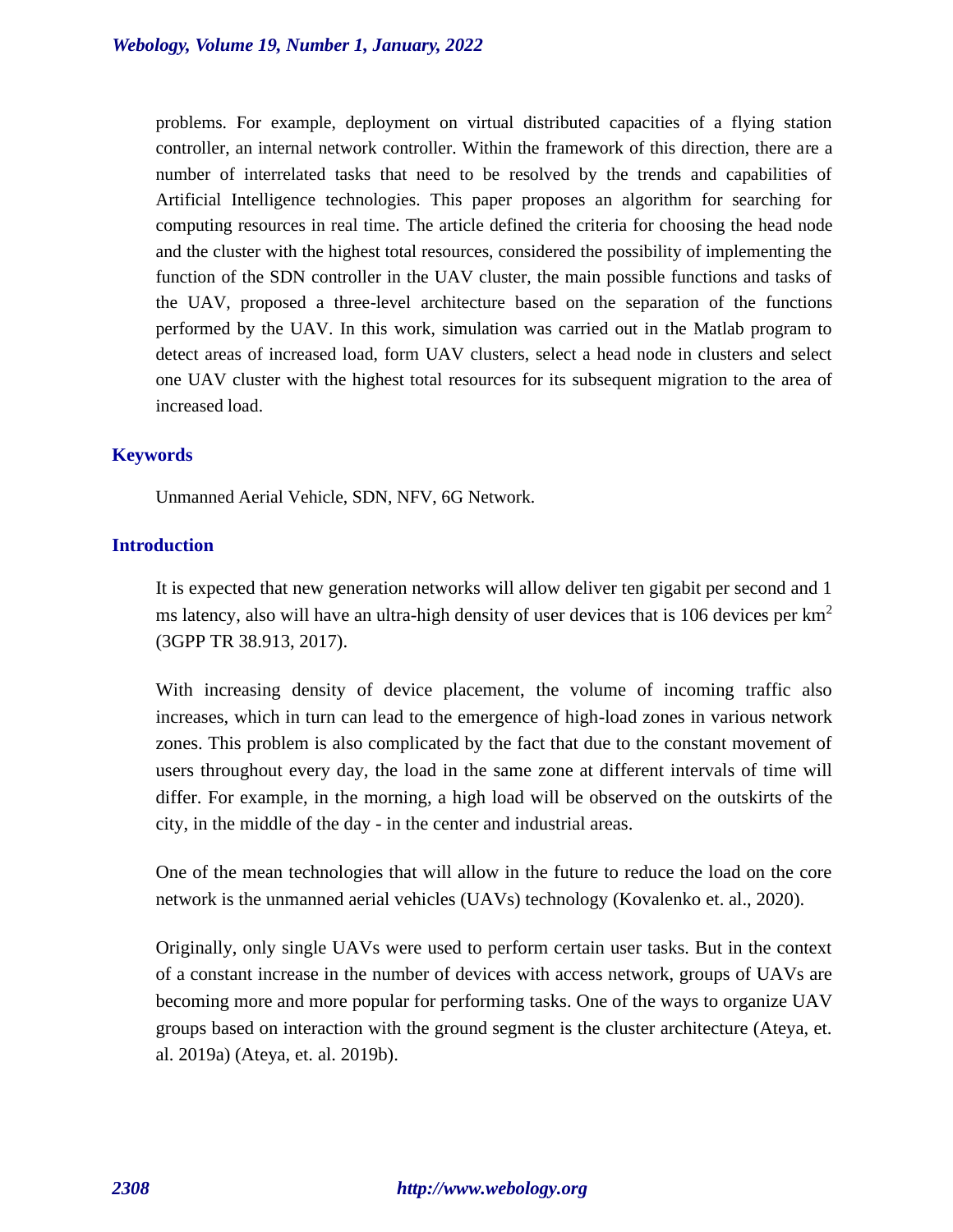problems. For example, deployment on virtual distributed capacities of a flying station controller, an internal network controller. Within the framework of this direction, there are a number of interrelated tasks that need to be resolved by the trends and capabilities of Artificial Intelligence technologies. This paper proposes an algorithm for searching for computing resources in real time. The article defined the criteria for choosing the head node and the cluster with the highest total resources, considered the possibility of implementing the function of the SDN controller in the UAV cluster, the main possible functions and tasks of the UAV, proposed a three-level architecture based on the separation of the functions performed by the UAV. In this work, simulation was carried out in the Matlab program to detect areas of increased load, form UAV clusters, select a head node in clusters and select one UAV cluster with the highest total resources for its subsequent migration to the area of increased load.

#### **Keywords**

Unmanned Aerial Vehicle, SDN, NFV, 6G Network.

#### **Introduction**

It is expected that new generation networks will allow deliver ten gigabit per second and 1 ms latency, also will have an ultra-high density of user devices that is 106 devices per  $km<sup>2</sup>$ (3GPP TR 38.913, 2017).

With increasing density of device placement, the volume of incoming traffic also increases, which in turn can lead to the emergence of high-load zones in various network zones. This problem is also complicated by the fact that due to the constant movement of users throughout every day, the load in the same zone at different intervals of time will differ. For example, in the morning, a high load will be observed on the outskirts of the city, in the middle of the day - in the center and industrial areas.

One of the mean technologies that will allow in the future to reduce the load on the core network is the unmanned aerial vehicles (UAVs) technology (Kovalenko et. al., 2020).

Originally, only single UAVs were used to perform certain user tasks. But in the context of a constant increase in the number of devices with access network, groups of UAVs are becoming more and more popular for performing tasks. One of the ways to organize UAV groups based on interaction with the ground segment is the cluster architecture (Ateya, et. al. 2019a) (Ateya, et. al. 2019b).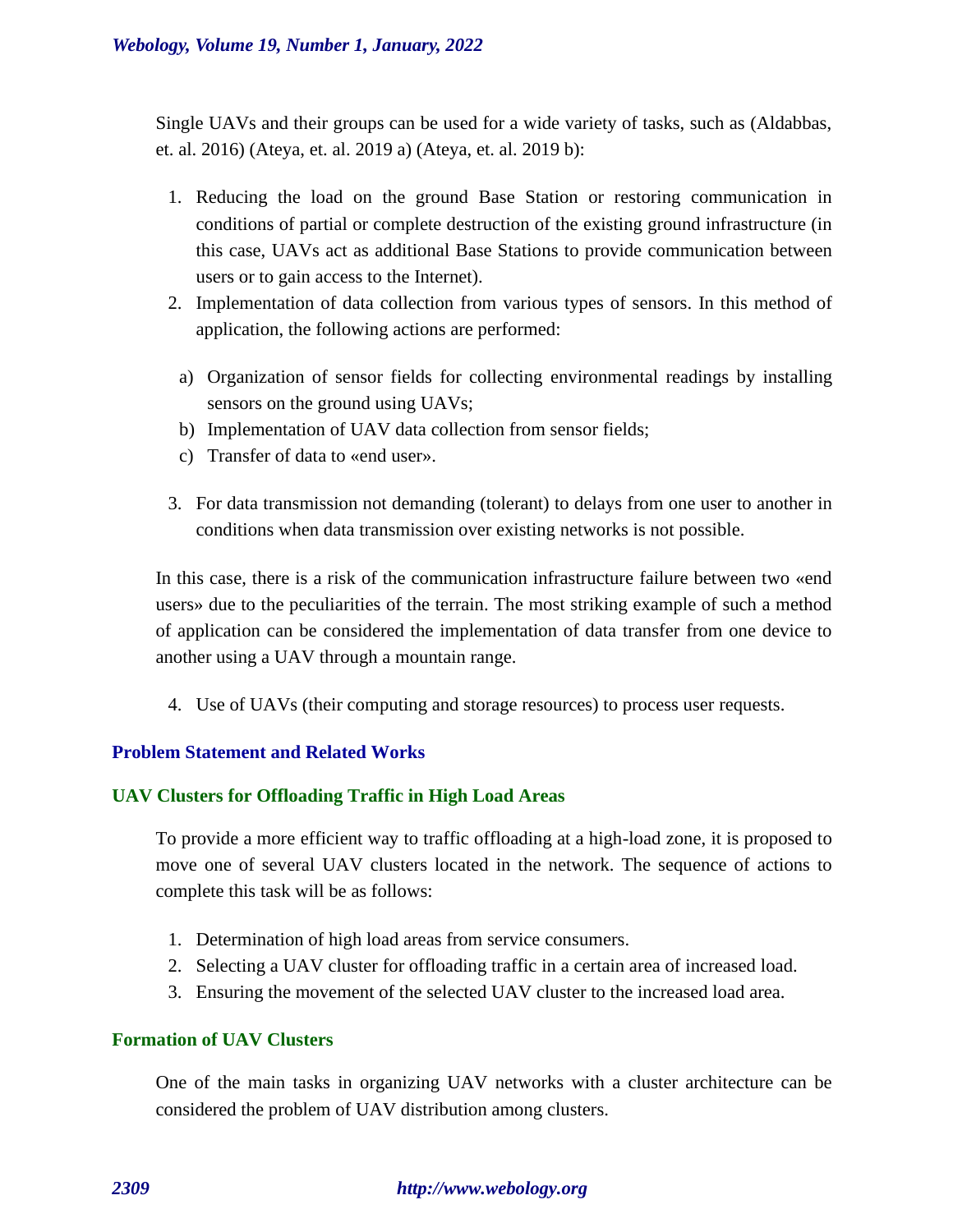Single UAVs and their groups can be used for a wide variety of tasks, such as (Aldabbas, et. al. 2016) (Ateya, et. al. 2019 a) (Ateya, et. al. 2019 b):

- 1. Reducing the load on the ground Base Station or restoring communication in conditions of partial or complete destruction of the existing ground infrastructure (in this case, UAVs act as additional Base Stations to provide communication between users or to gain access to the Internet).
- 2. Implementation of data collection from various types of sensors. In this method of application, the following actions are performed:
	- a) Organization of sensor fields for collecting environmental readings by installing sensors on the ground using UAVs;
	- b) Implementation of UAV data collection from sensor fields;
	- c) Transfer of data to «end user».
- 3. For data transmission not demanding (tolerant) to delays from one user to another in conditions when data transmission over existing networks is not possible.

In this case, there is a risk of the communication infrastructure failure between two «end users» due to the peculiarities of the terrain. The most striking example of such a method of application can be considered the implementation of data transfer from one device to another using a UAV through a mountain range.

4. Use of UAVs (their computing and storage resources) to process user requests.

# **Problem Statement and Related Works**

# **UAV Clusters for Offloading Traffic in High Load Areas**

To provide a more efficient way to traffic offloading at a high-load zone, it is proposed to move one of several UAV clusters located in the network. The sequence of actions to complete this task will be as follows:

- 1. Determination of high load areas from service consumers.
- 2. Selecting a UAV cluster for offloading traffic in a certain area of increased load.
- 3. Ensuring the movement of the selected UAV cluster to the increased load area.

# **Formation of UAV Clusters**

One of the main tasks in organizing UAV networks with a cluster architecture can be considered the problem of UAV distribution among clusters.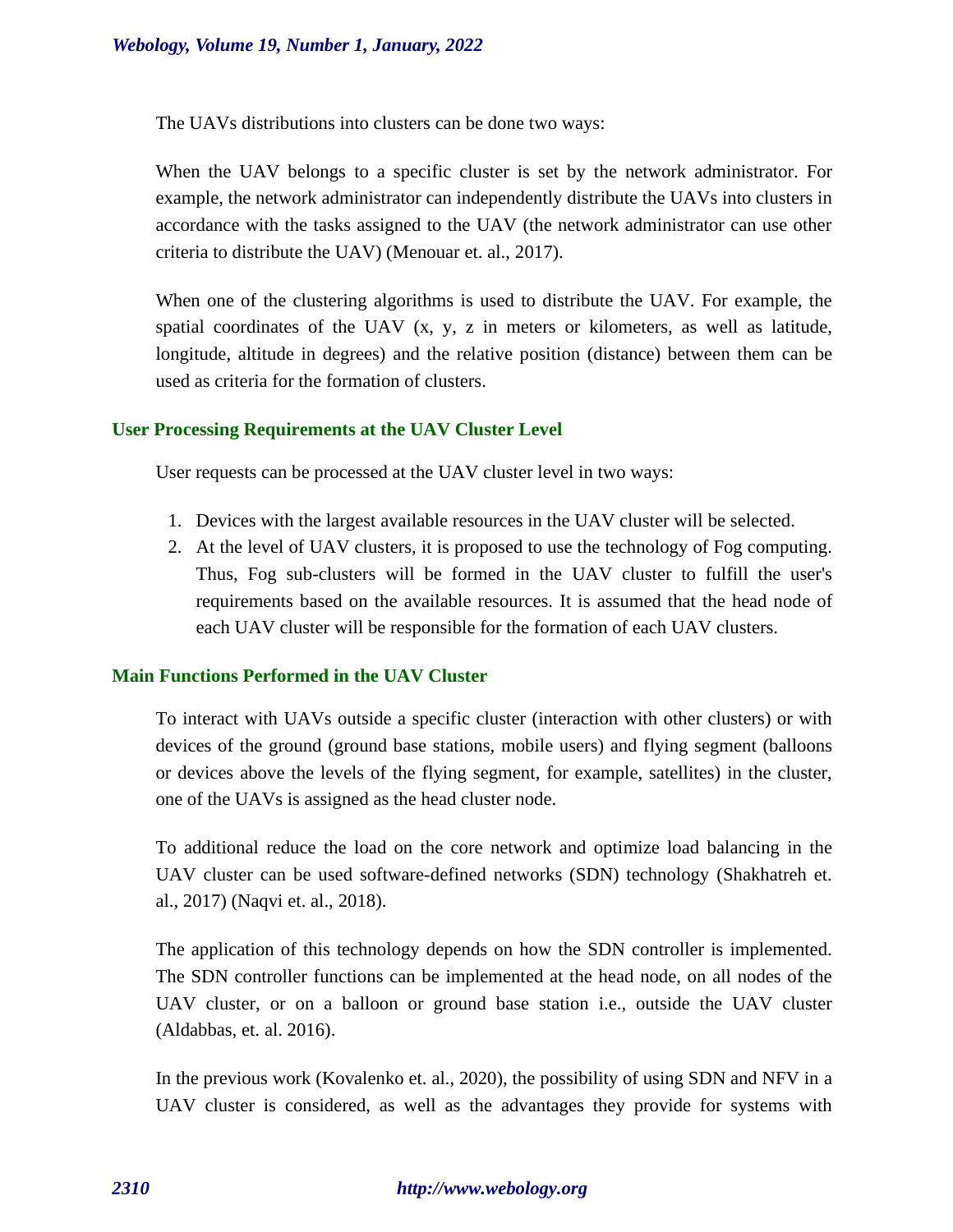The UAVs distributions into clusters can be done two ways:

When the UAV belongs to a specific cluster is set by the network administrator. For example, the network administrator can independently distribute the UAVs into clusters in accordance with the tasks assigned to the UAV (the network administrator can use other criteria to distribute the UAV) (Menouar et. al., 2017).

When one of the clustering algorithms is used to distribute the UAV. For example, the spatial coordinates of the UAV (x, y, z in meters or kilometers, as well as latitude, longitude, altitude in degrees) and the relative position (distance) between them can be used as criteria for the formation of clusters.

## **User Processing Requirements at the UAV Cluster Level**

User requests can be processed at the UAV cluster level in two ways:

- 1. Devices with the largest available resources in the UAV cluster will be selected.
- 2. At the level of UAV clusters, it is proposed to use the technology of Fog computing. Thus, Fog sub-clusters will be formed in the UAV cluster to fulfill the user's requirements based on the available resources. It is assumed that the head node of each UAV cluster will be responsible for the formation of each UAV clusters.

# **Main Functions Performed in the UAV Cluster**

To interact with UAVs outside a specific cluster (interaction with other clusters) or with devices of the ground (ground base stations, mobile users) and flying segment (balloons or devices above the levels of the flying segment, for example, satellites) in the cluster, one of the UAVs is assigned as the head cluster node.

To additional reduce the load on the core network and optimize load balancing in the UAV cluster can be used software-defined networks (SDN) technology (Shakhatreh et. al., 2017) (Naqvi et. al., 2018).

The application of this technology depends on how the SDN controller is implemented. The SDN controller functions can be implemented at the head node, on all nodes of the UAV cluster, or on a balloon or ground base station i.e., outside the UAV cluster (Aldabbas, et. al. 2016).

In the previous work (Kovalenko et. al., 2020), the possibility of using SDN and NFV in a UAV cluster is considered, as well as the advantages they provide for systems with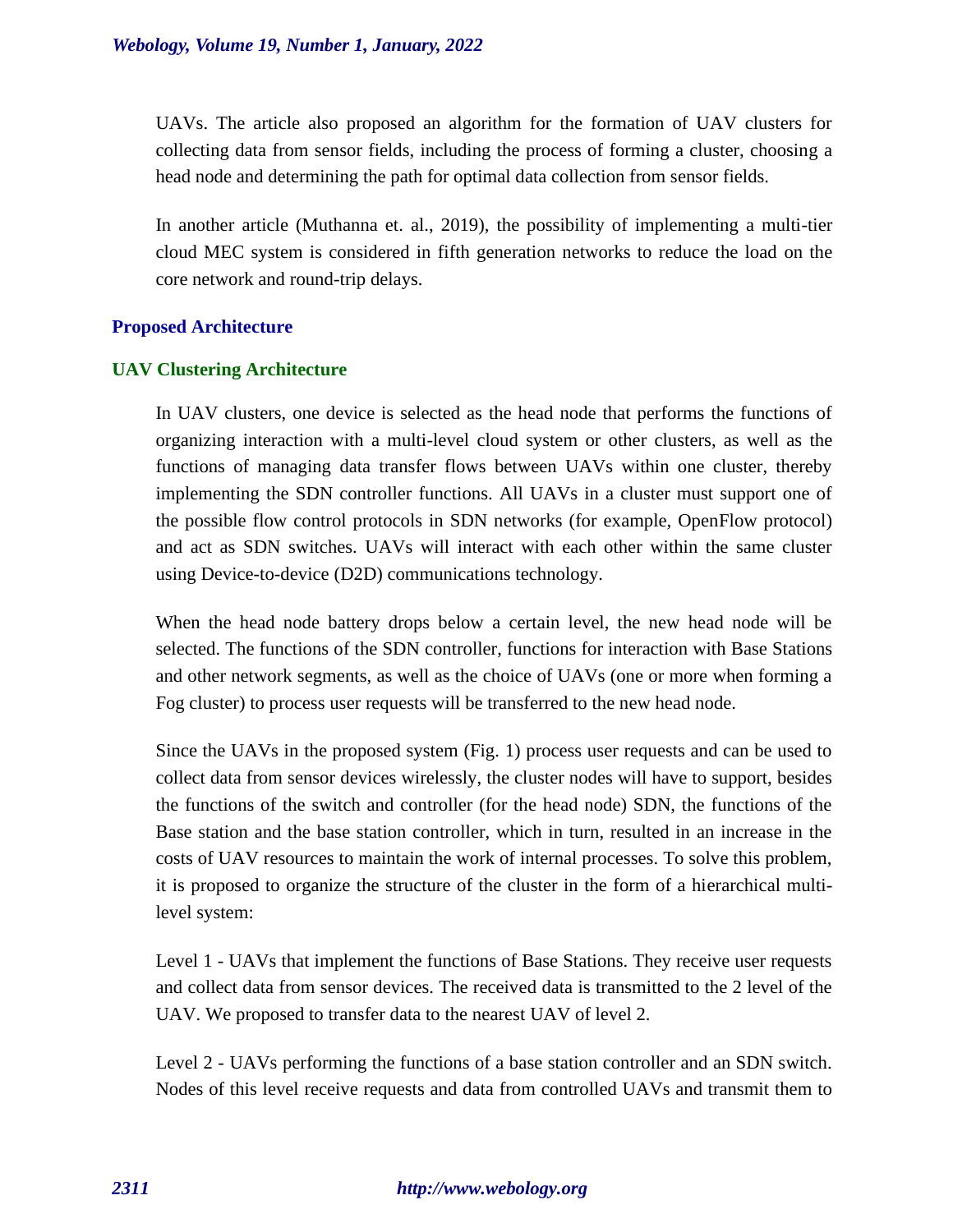UAVs. The article also proposed an algorithm for the formation of UAV clusters for collecting data from sensor fields, including the process of forming a cluster, choosing a head node and determining the path for optimal data collection from sensor fields.

In another article (Muthanna et. al., 2019), the possibility of implementing a multi-tier cloud MEC system is considered in fifth generation networks to reduce the load on the core network and round-trip delays.

## **Proposed Architecture**

## **UAV Clustering Architecture**

In UAV clusters, one device is selected as the head node that performs the functions of organizing interaction with a multi-level cloud system or other clusters, as well as the functions of managing data transfer flows between UAVs within one cluster, thereby implementing the SDN controller functions. All UAVs in a cluster must support one of the possible flow control protocols in SDN networks (for example, OpenFlow protocol) and act as SDN switches. UAVs will interact with each other within the same cluster using Device-to-device (D2D) communications technology.

When the head node battery drops below a certain level, the new head node will be selected. The functions of the SDN controller, functions for interaction with Base Stations and other network segments, as well as the choice of UAVs (one or more when forming a Fog cluster) to process user requests will be transferred to the new head node.

Since the UAVs in the proposed system (Fig. 1) process user requests and can be used to collect data from sensor devices wirelessly, the cluster nodes will have to support, besides the functions of the switch and controller (for the head node) SDN, the functions of the Base station and the base station controller, which in turn, resulted in an increase in the costs of UAV resources to maintain the work of internal processes. To solve this problem, it is proposed to organize the structure of the cluster in the form of a hierarchical multilevel system:

Level 1 - UAVs that implement the functions of Base Stations. They receive user requests and collect data from sensor devices. The received data is transmitted to the 2 level of the UAV. We proposed to transfer data to the nearest UAV of level 2.

Level 2 - UAVs performing the functions of a base station controller and an SDN switch. Nodes of this level receive requests and data from controlled UAVs and transmit them to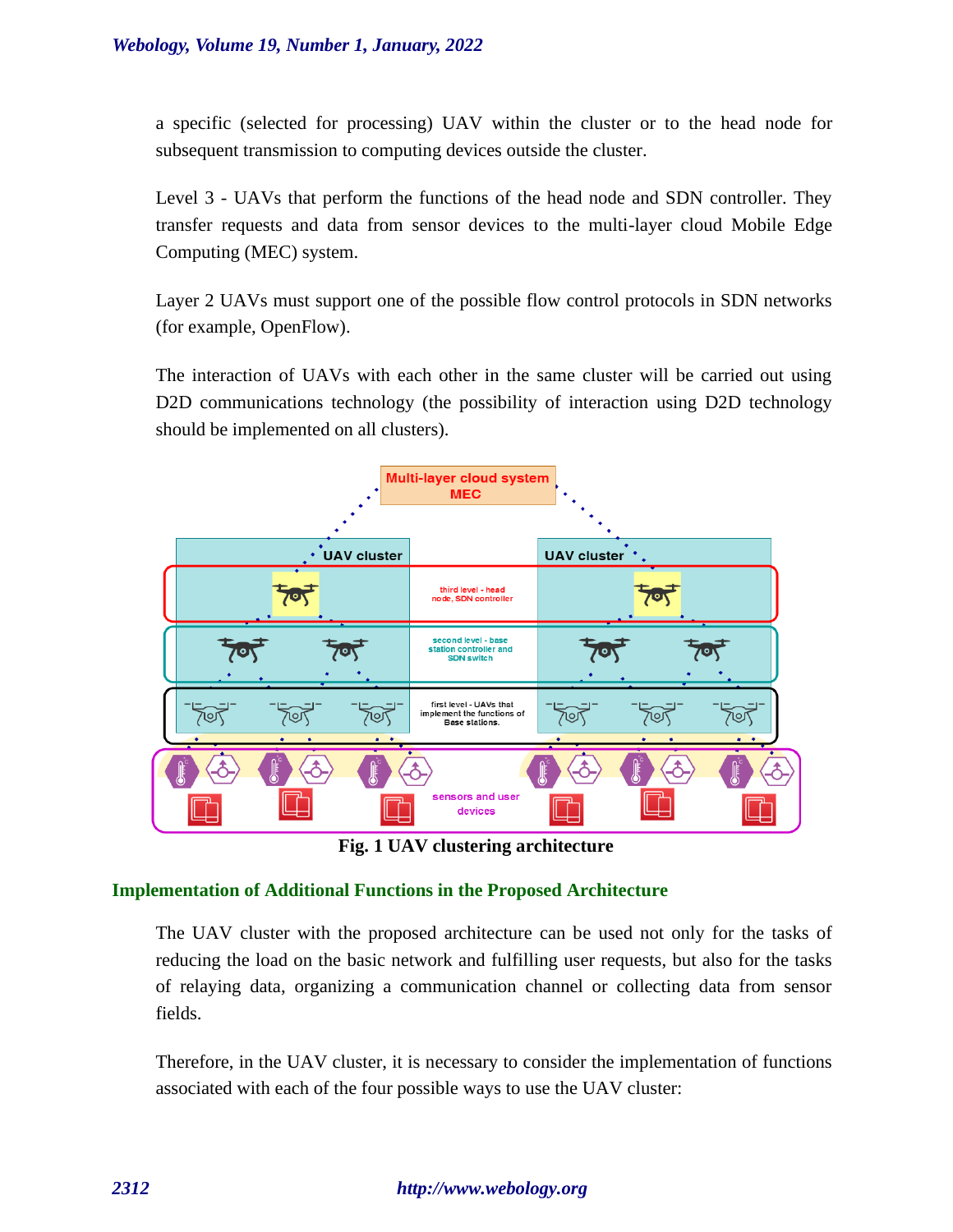a specific (selected for processing) UAV within the cluster or to the head node for subsequent transmission to computing devices outside the cluster.

Level 3 - UAVs that perform the functions of the head node and SDN controller. They transfer requests and data from sensor devices to the multi-layer cloud Mobile Edge Computing (MEC) system.

Layer 2 UAVs must support one of the possible flow control protocols in SDN networks (for example, OpenFlow).

The interaction of UAVs with each other in the same cluster will be carried out using D2D communications technology (the possibility of interaction using D2D technology should be implemented on all clusters).



**Fig. 1 UAV clustering architecture**

# **Implementation of Additional Functions in the Proposed Architecture**

The UAV cluster with the proposed architecture can be used not only for the tasks of reducing the load on the basic network and fulfilling user requests, but also for the tasks of relaying data, organizing a communication channel or collecting data from sensor fields.

Therefore, in the UAV cluster, it is necessary to consider the implementation of functions associated with each of the four possible ways to use the UAV cluster: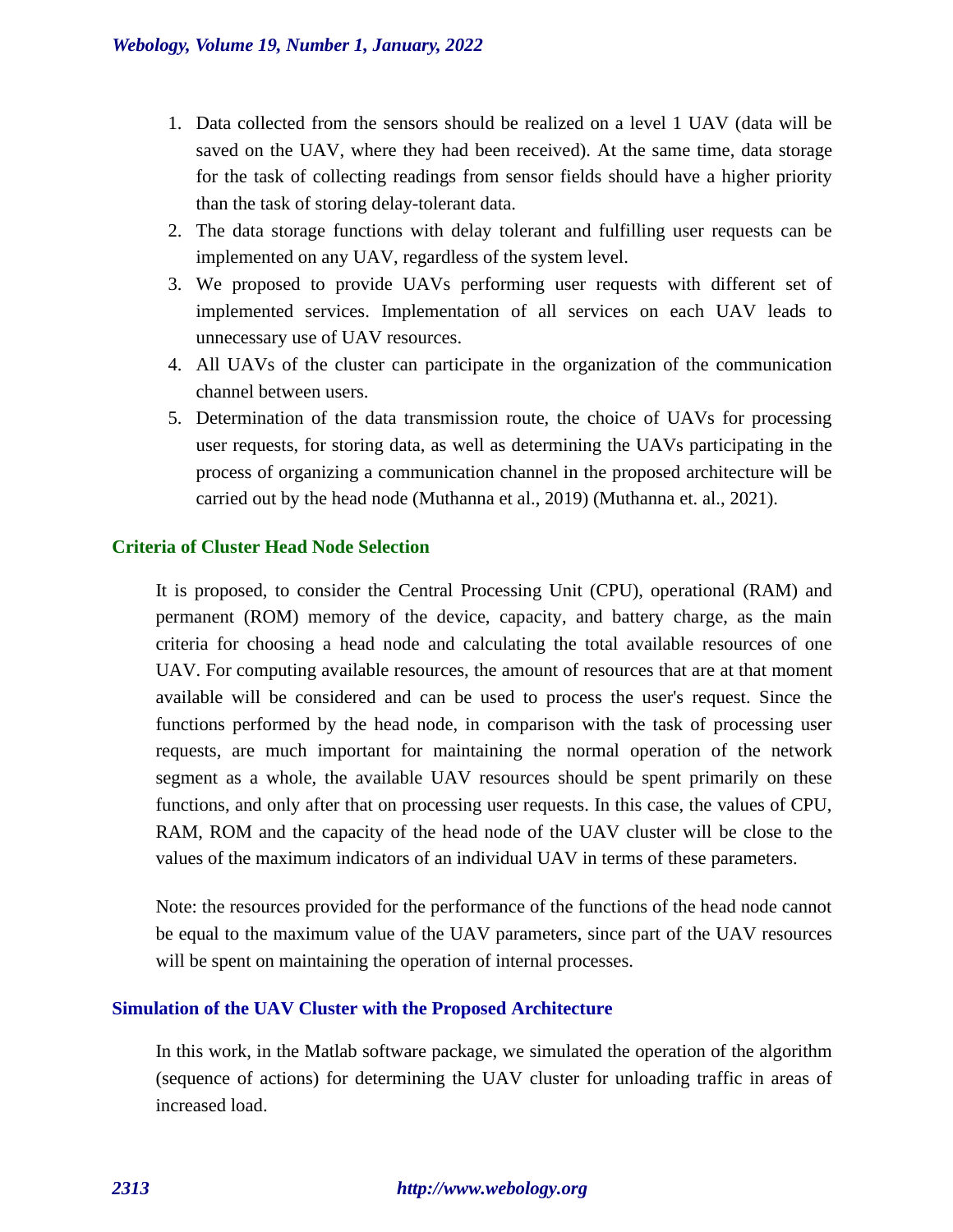- 1. Data collected from the sensors should be realized on a level 1 UAV (data will be saved on the UAV, where they had been received). At the same time, data storage for the task of collecting readings from sensor fields should have a higher priority than the task of storing delay-tolerant data.
- 2. The data storage functions with delay tolerant and fulfilling user requests can be implemented on any UAV, regardless of the system level.
- 3. We proposed to provide UAVs performing user requests with different set of implemented services. Implementation of all services on each UAV leads to unnecessary use of UAV resources.
- 4. All UAVs of the cluster can participate in the organization of the communication channel between users.
- 5. Determination of the data transmission route, the choice of UAVs for processing user requests, for storing data, as well as determining the UAVs participating in the process of organizing a communication channel in the proposed architecture will be carried out by the head node (Muthanna et al., 2019) (Muthanna et. al., 2021).

## **Criteria of Cluster Head Node Selection**

It is proposed, to consider the Central Processing Unit (CPU), operational (RAM) and permanent (ROM) memory of the device, capacity, and battery charge, as the main criteria for choosing a head node and calculating the total available resources of one UAV. For computing available resources, the amount of resources that are at that moment available will be considered and can be used to process the user's request. Since the functions performed by the head node, in comparison with the task of processing user requests, are much important for maintaining the normal operation of the network segment as a whole, the available UAV resources should be spent primarily on these functions, and only after that on processing user requests. In this case, the values of CPU, RAM, ROM and the capacity of the head node of the UAV cluster will be close to the values of the maximum indicators of an individual UAV in terms of these parameters.

Note: the resources provided for the performance of the functions of the head node cannot be equal to the maximum value of the UAV parameters, since part of the UAV resources will be spent on maintaining the operation of internal processes.

# **Simulation of the UAV Cluster with the Proposed Architecture**

In this work, in the Matlab software package, we simulated the operation of the algorithm (sequence of actions) for determining the UAV cluster for unloading traffic in areas of increased load.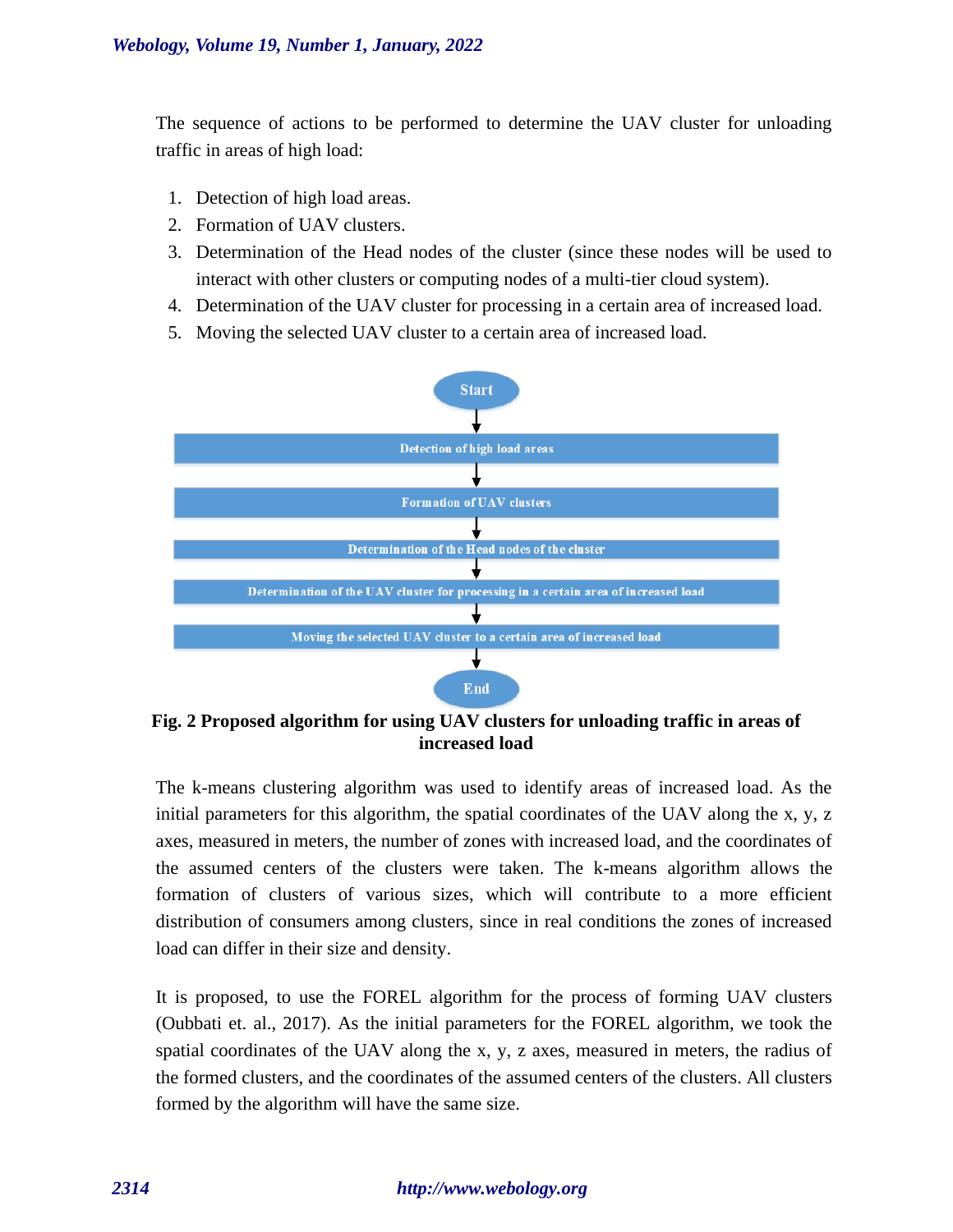The sequence of actions to be performed to determine the UAV cluster for unloading traffic in areas of high load:

- 1. Detection of high load areas.
- 2. Formation of UAV clusters.
- 3. Determination of the Head nodes of the cluster (since these nodes will be used to interact with other clusters or computing nodes of a multi-tier cloud system).
- 4. Determination of the UAV cluster for processing in a certain area of increased load.
- 5. Moving the selected UAV cluster to a certain area of increased load.



**Fig. 2 Proposed algorithm for using UAV clusters for unloading traffic in areas of increased load**

The k-means clustering algorithm was used to identify areas of increased load. As the initial parameters for this algorithm, the spatial coordinates of the UAV along the x, y, z axes, measured in meters, the number of zones with increased load, and the coordinates of the assumed centers of the clusters were taken. The k-means algorithm allows the formation of clusters of various sizes, which will contribute to a more efficient distribution of consumers among clusters, since in real conditions the zones of increased load can differ in their size and density.

It is proposed, to use the FOREL algorithm for the process of forming UAV clusters (Oubbati et. al., 2017). As the initial parameters for the FOREL algorithm, we took the spatial coordinates of the UAV along the x, y, z axes, measured in meters, the radius of the formed clusters, and the coordinates of the assumed centers of the clusters. All clusters formed by the algorithm will have the same size.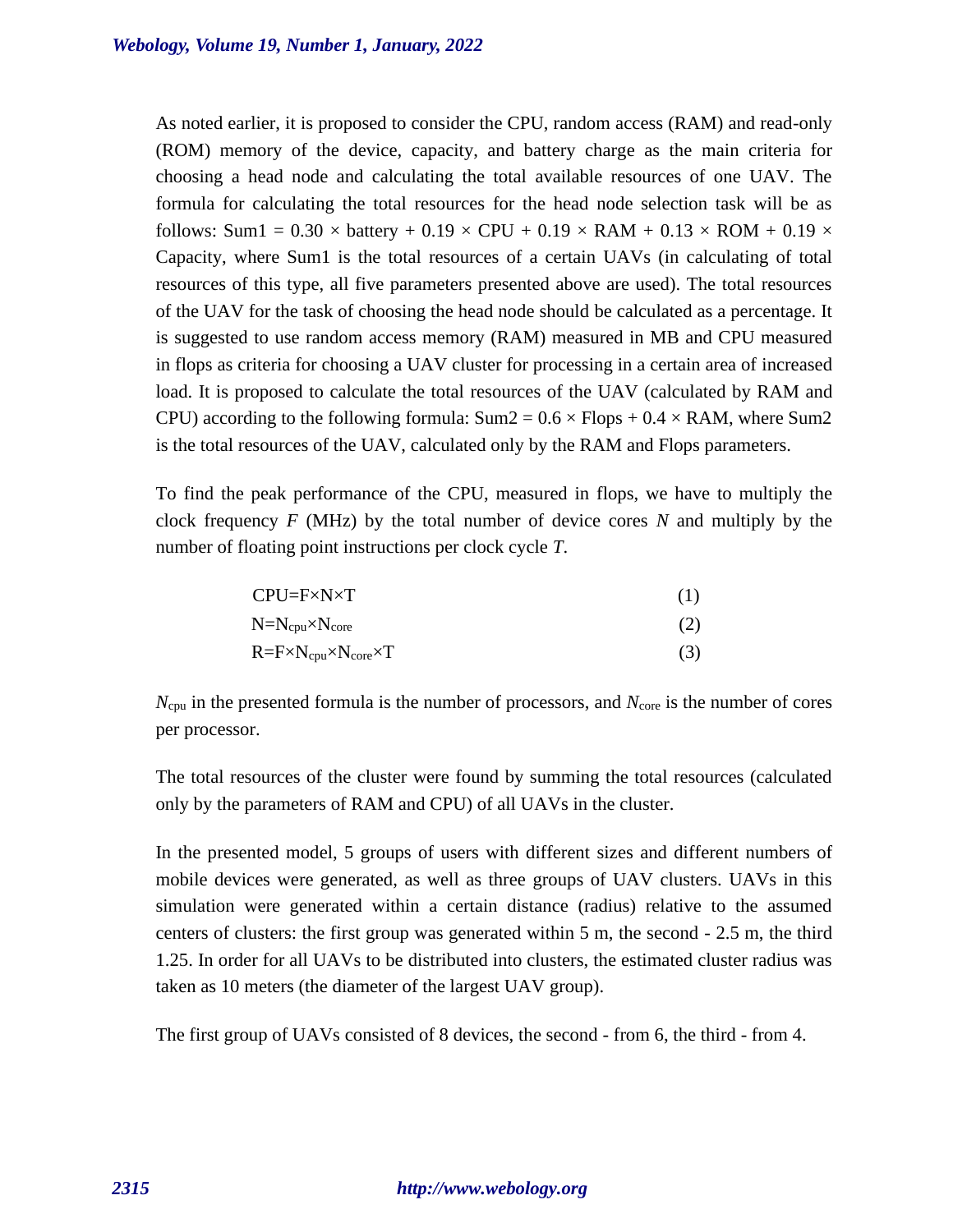As noted earlier, it is proposed to consider the CPU, random access (RAM) and read-only (ROM) memory of the device, capacity, and battery charge as the main criteria for choosing a head node and calculating the total available resources of one UAV. The formula for calculating the total resources for the head node selection task will be as follows: Sum1 =  $0.30 \times$  battery +  $0.19 \times$  CPU +  $0.19 \times$  RAM +  $0.13 \times$  ROM +  $0.19 \times$ Capacity, where Sum1 is the total resources of a certain UAVs (in calculating of total resources of this type, all five parameters presented above are used). The total resources of the UAV for the task of choosing the head node should be calculated as a percentage. It is suggested to use random access memory (RAM) measured in MB and CPU measured in flops as criteria for choosing a UAV cluster for processing in a certain area of increased load. It is proposed to calculate the total resources of the UAV (calculated by RAM and CPU) according to the following formula:  $Sum2 = 0.6 \times Flops + 0.4 \times RAM$ , where Sum2 is the total resources of the UAV, calculated only by the RAM and Flops parameters.

To find the peak performance of the CPU, measured in flops, we have to multiply the clock frequency *F* (MHz) by the total number of device cores *N* and multiply by the number of floating point instructions per clock cycle *T*.

| CPU=F×N×T |  |
|-----------|--|
|           |  |

$$
N=N_{cpu} \times N_{core}
$$
 (2)

$$
R = F \times N_{cpu} \times N_{core} \times T
$$
 (3)

*N*<sub>cpu</sub> in the presented formula is the number of processors, and *N*<sub>core</sub> is the number of cores per processor.

The total resources of the cluster were found by summing the total resources (calculated only by the parameters of RAM and CPU) of all UAVs in the cluster.

In the presented model, 5 groups of users with different sizes and different numbers of mobile devices were generated, as well as three groups of UAV clusters. UAVs in this simulation were generated within a certain distance (radius) relative to the assumed centers of clusters: the first group was generated within 5 m, the second - 2.5 m, the third 1.25. In order for all UAVs to be distributed into clusters, the estimated cluster radius was taken as 10 meters (the diameter of the largest UAV group).

The first group of UAVs consisted of 8 devices, the second - from 6, the third - from 4.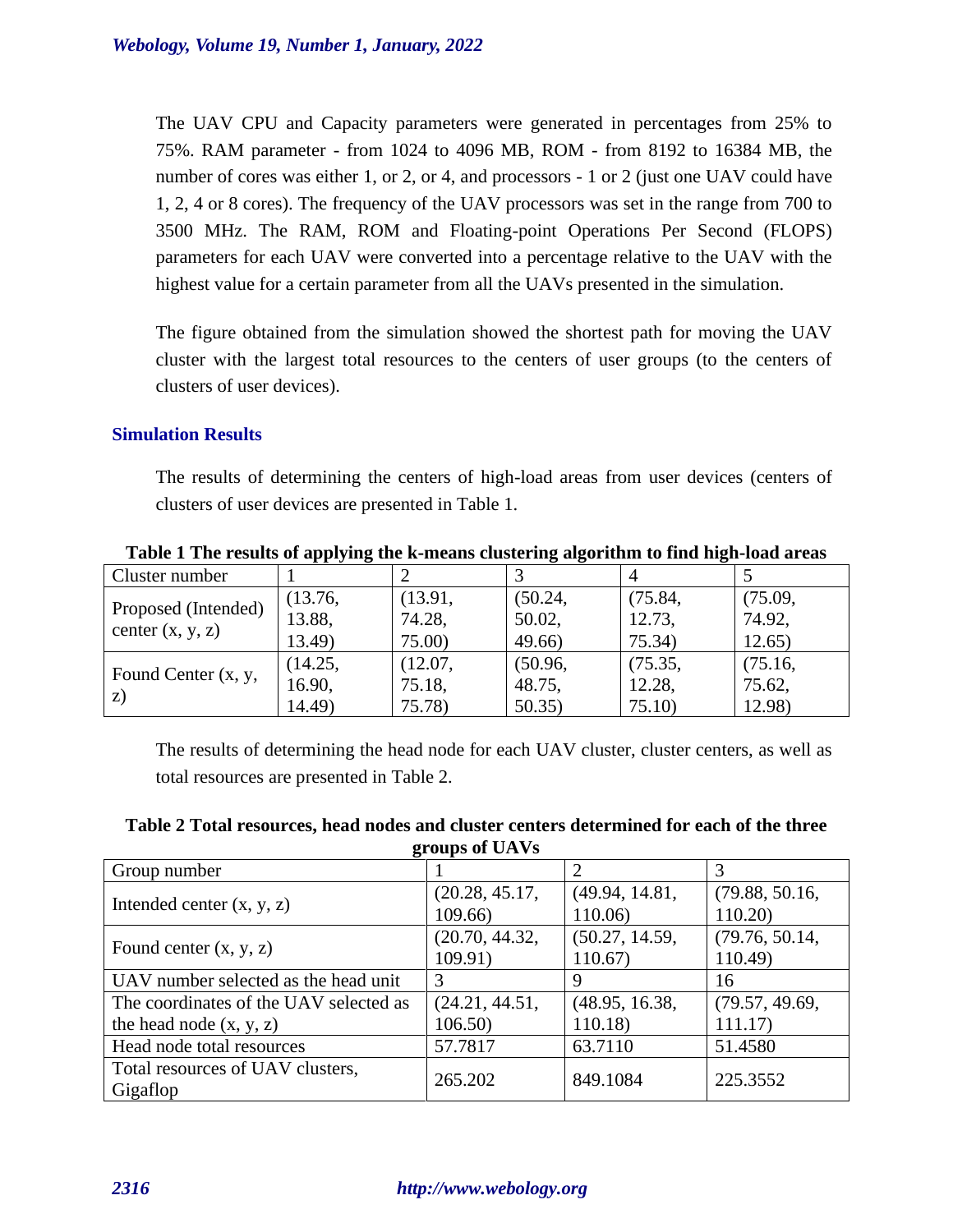The UAV CPU and Capacity parameters were generated in percentages from 25% to 75%. RAM parameter - from 1024 to 4096 MB, ROM - from 8192 to 16384 MB, the number of cores was either 1, or 2, or 4, and processors - 1 or 2 (just one UAV could have 1, 2, 4 or 8 cores). The frequency of the UAV processors was set in the range from 700 to 3500 MHz. The RAM, ROM and Floating-point Operations Per Second (FLOPS) parameters for each UAV were converted into a percentage relative to the UAV with the highest value for a certain parameter from all the UAVs presented in the simulation.

The figure obtained from the simulation showed the shortest path for moving the UAV cluster with the largest total resources to the centers of user groups (to the centers of clusters of user devices).

# **Simulation Results**

The results of determining the centers of high-load areas from user devices (centers of clusters of user devices are presented in Table 1.

| -----------<br>----                       |         |         |         |         |         |  |  |
|-------------------------------------------|---------|---------|---------|---------|---------|--|--|
| Cluster number                            |         |         |         |         |         |  |  |
| Proposed (Intended)<br>center $(x, y, z)$ | (13.76, | (13.91, | (50.24, | (75.84, | (75.09, |  |  |
|                                           | 13.88,  | 74.28,  | 50.02,  | 12.73.  | 74.92,  |  |  |
|                                           | 13.49)  | 75.00)  | 49.66)  | 75.34)  | 12.65)  |  |  |
| Found Center (x, y,<br>Z)                 | (14.25, | (12.07, | (50.96, | (75.35, | (75.16, |  |  |
|                                           | 16.90,  | 75.18,  | 48.75,  | 12.28,  | 75.62,  |  |  |
|                                           | 14.49)  | 75.78)  | 50.35   | 75.10   | 12.98)  |  |  |

**Table 1 The results of applying the k-means clustering algorithm to find high-load areas**

The results of determining the head node for each UAV cluster, cluster centers, as well as total resources are presented in Table 2.

| Table 2 Total resources, head nodes and cluster centers determined for each of the three |  |  |  |  |
|------------------------------------------------------------------------------------------|--|--|--|--|
| groups of UAVs                                                                           |  |  |  |  |

| Group number                           |                |                |                |  |
|----------------------------------------|----------------|----------------|----------------|--|
|                                        | (20.28, 45.17, | (49.94, 14.81, | (79.88, 50.16, |  |
| Intended center $(x, y, z)$            | 109.66)        | 110.06         | 110.20         |  |
| Found center $(x, y, z)$               | (20.70, 44.32, | (50.27, 14.59, | (79.76, 50.14, |  |
|                                        | 109.91)        | 110.67         | 110.49)        |  |
| UAV number selected as the head unit   | 3              | 9              | 16             |  |
| The coordinates of the UAV selected as | (24.21, 44.51, | (48.95, 16.38, | (79.57, 49.69, |  |
| the head node $(x, y, z)$              | 106.50         | 110.18         | 111.17         |  |
| Head node total resources              | 57.7817        | 63.7110        | 51.4580        |  |
| Total resources of UAV clusters,       | 265.202        | 849.1084       | 225.3552       |  |
| Gigaflop                               |                |                |                |  |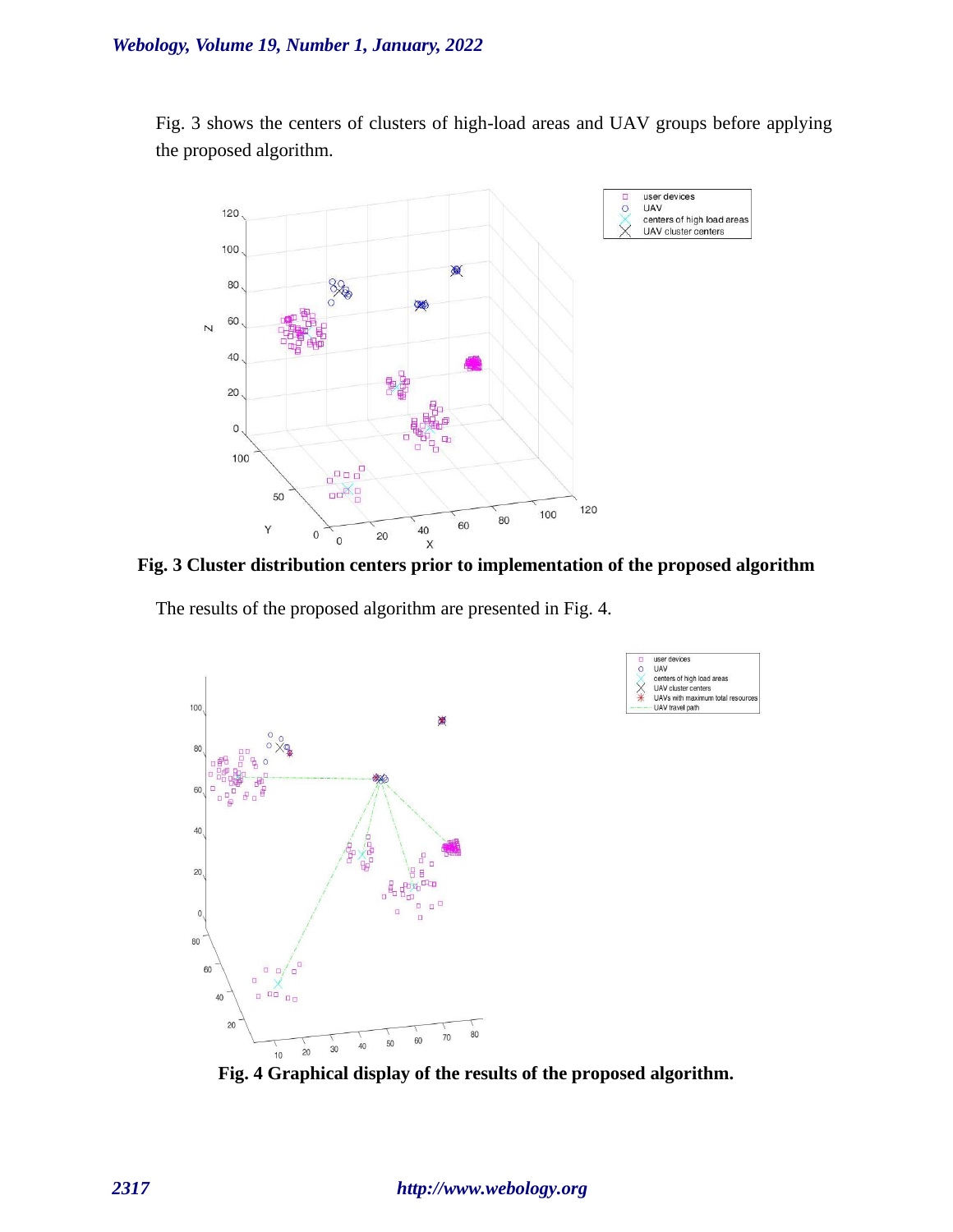Fig. 3 shows the centers of clusters of high-load areas and UAV groups before applying the proposed algorithm.



**Fig. 3 Cluster distribution centers prior to implementation of the proposed algorithm**

user devices<br>UAV  $\circ$ 

XX

centers of high load areas<br>UAV cluster centers

UAVs with maximum total resort<br>- UAV travel path

The results of the proposed algorithm are presented in Fig. 4.



**Fig. 4 Graphical display of the results of the proposed algorithm.**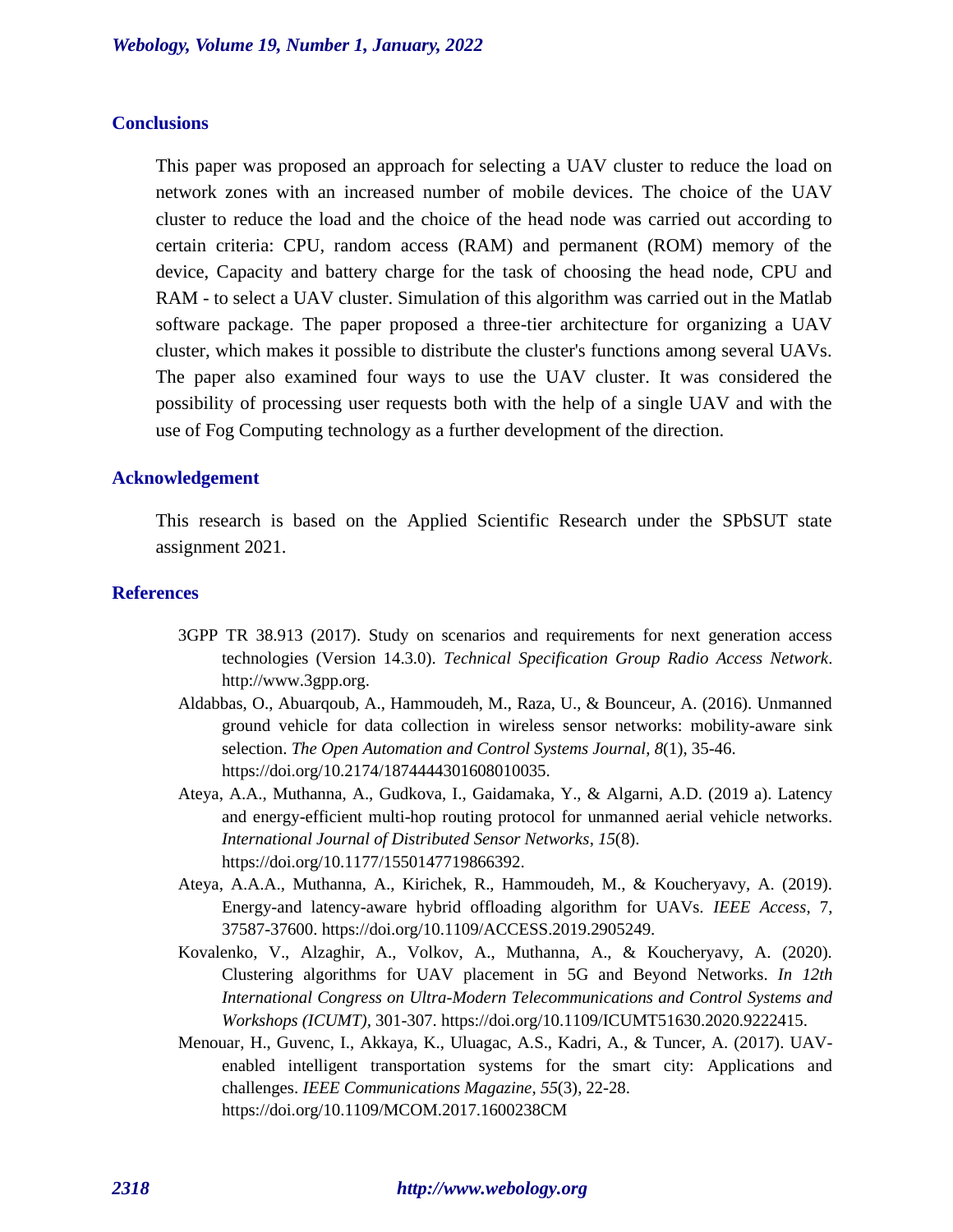### **Conclusions**

This paper was proposed an approach for selecting a UAV cluster to reduce the load on network zones with an increased number of mobile devices. The choice of the UAV cluster to reduce the load and the choice of the head node was carried out according to certain criteria: CPU, random access (RAM) and permanent (ROM) memory of the device, Capacity and battery charge for the task of choosing the head node, CPU and RAM - to select a UAV cluster. Simulation of this algorithm was carried out in the Matlab software package. The paper proposed a three-tier architecture for organizing a UAV cluster, which makes it possible to distribute the cluster's functions among several UAVs. The paper also examined four ways to use the UAV cluster. It was considered the possibility of processing user requests both with the help of a single UAV and with the use of Fog Computing technology as a further development of the direction.

### **Acknowledgement**

This research is based on the Applied Scientific Research under the SPbSUT state assignment 2021.

### **References**

- 3GPP TR 38.913 (2017). Study on scenarios and requirements for next generation access technologies (Version 14.3.0). *Technical Specification Group Radio Access Network*. http://www.3gpp.org.
- Aldabbas, O., Abuarqoub, A., Hammoudeh, M., Raza, U., & Bounceur, A. (2016). Unmanned ground vehicle for data collection in wireless sensor networks: mobility-aware sink selection. *The Open Automation and Control Systems Journal*, *8*(1), 35-46. https://doi.org/10.2174/1874444301608010035.
- Ateya, A.A., Muthanna, A., Gudkova, I., Gaidamaka, Y., & Algarni, A.D. (2019 a). Latency and energy-efficient multi-hop routing protocol for unmanned aerial vehicle networks. *International Journal of Distributed Sensor Networks*, *15*(8). https://doi.org/10.1177/1550147719866392.
- Ateya, A.A.A., Muthanna, A., Kirichek, R., Hammoudeh, M., & Koucheryavy, A. (2019). Energy-and latency-aware hybrid offloading algorithm for UAVs. *IEEE Access*, 7, 37587-37600. https://doi.org/10.1109/ACCESS.2019.2905249.
- Kovalenko, V., Alzaghir, A., Volkov, A., Muthanna, A., & Koucheryavy, A. (2020). Clustering algorithms for UAV placement in 5G and Beyond Networks. *In 12th International Congress on Ultra-Modern Telecommunications and Control Systems and Workshops (ICUMT),* 301-307. https://doi.org/10.1109/ICUMT51630.2020.9222415.
- Menouar, H., Guvenc, I., Akkaya, K., Uluagac, A.S., Kadri, A., & Tuncer, A. (2017). UAVenabled intelligent transportation systems for the smart city: Applications and challenges. *IEEE Communications Magazine*, *55*(3), 22-28. https://doi.org/10.1109/MCOM.2017.1600238CM